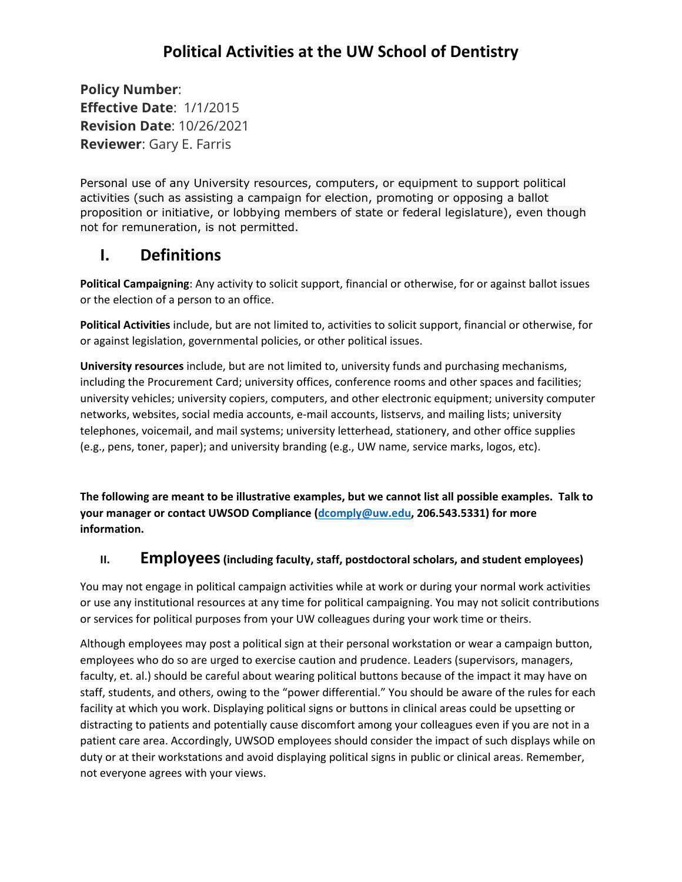# **Political Activities at the UW School of Dentistry**

**Policy Number**: **Effective Date**: 1/1/2015 **Revision Date**: 10/26/2021 **Reviewer**: Gary E. Farris

Personal use of any University resources, computers, or equipment to support political activities (such as assisting a campaign for election, promoting or opposing a ballot proposition or initiative, or lobbying members of state or federal legislature), even though not for remuneration, is not permitted.

### **I. Definitions**

**Political Campaigning**: Any activity to solicit support, financial or otherwise, for or against ballot issues or the election of a person to an office.

**Political Activities** include, but are not limited to, activities to solicit support, financial or otherwise, for or against legislation, governmental policies, or other political issues.

**University resources** include, but are not limited to, university funds and purchasing mechanisms, including the Procurement Card; university offices, conference rooms and other spaces and facilities; university vehicles; university copiers, computers, and other electronic equipment; university computer networks, websites, social media accounts, e-mail accounts, listservs, and mailing lists; university telephones, voicemail, and mail systems; university letterhead, stationery, and other office supplies (e.g., pens, toner, paper); and university branding (e.g., UW name, service marks, logos, etc).

**The following are meant to be illustrative examples, but we cannot list all possible examples. Talk to your manager or contact UWSOD Compliance [\(dcomply@uw.edu,](mailto:dcomply@uw.edu) 206.543.5331) for more information.**

#### **II. Employees** (including faculty, staff, postdoctoral scholars, and student employees)

You may not engage in political campaign activities while at work or during your normal work activities or use any institutional resources at any time for political campaigning. You may not solicit contributions or services for political purposes from your UW colleagues during your work time or theirs.

Although employees may post a political sign at their personal workstation or wear a campaign button, employees who do so are urged to exercise caution and prudence. Leaders (supervisors, managers, faculty, et. al.) should be careful about wearing political buttons because of the impact it may have on staff, students, and others, owing to the "power differential." You should be aware of the rules for each facility at which you work. Displaying political signs or buttons in clinical areas could be upsetting or distracting to patients and potentially cause discomfort among your colleagues even if you are not in a patient care area. Accordingly, UWSOD employees should consider the impact of such displays while on duty or at their workstations and avoid displaying political signs in public or clinical areas. Remember, not everyone agrees with your views.